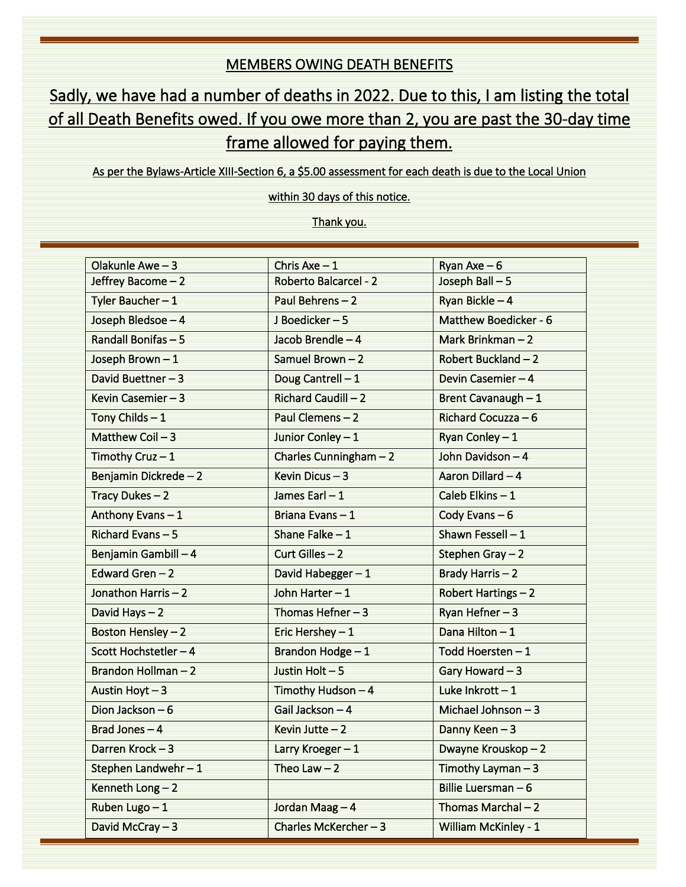## MEMBERS OWING DEATH BENEFITS

## Sadly, we have had a number of deaths in 2022. Due to this, I am listing the total of all Death Benefits owed. If you owe more than 2, you are past the 30-day time frame allowed for paying them.

As per the Bylaws-Article XIII-Section 6, a \$5.00 assessment for each death is due to the Local Union

within 30 days of this notice.

Thank you.

| Olakunle Awe-3        | Chris Axe $-1$               | Ryan Axe $-6$         |
|-----------------------|------------------------------|-----------------------|
| Jeffrey Bacome - 2    | <b>Roberto Balcarcel - 2</b> | Joseph Ball-5         |
| Tyler Baucher- $1$    | Paul Behrens-2               | Ryan Bickle - 4       |
| Joseph Bledsoe - 4    | J Boedicker-5                | Matthew Boedicker - 6 |
| Randall Bonifas-5     | Jacob Brendle - 4            | Mark Brinkman - 2     |
| Joseph Brown-1        | Samuel Brown-2               | Robert Buckland - 2   |
| David Buettner-3      | Doug Cantrell-1              | Devin Casemier - 4    |
| Kevin Casemier - 3    | Richard Caudill - 2          | Brent Cavanaugh - 1   |
| Tony Childs $-1$      | Paul Clemens-2               | Richard Cocuzza - 6   |
| Matthew Coil $-3$     | Junior Conley - 1            | Ryan Conley $-1$      |
| Timothy Cruz $-1$     | Charles Cunningham $-2$      | John Davidson-4       |
| Benjamin Dickrede-2   | Kevin Dicus-3                | Aaron Dillard - 4     |
| Tracy Dukes $-2$      | James Earl $-1$              | Caleb Elkins-1        |
| Anthony Evans-1       | Briana Evans-1               | Cody Evans $-6$       |
| Richard Evans-5       | Shane Falke $-1$             | Shawn Fessell $-1$    |
| Benjamin Gambill-4    | Curt Gilles $-2$             | Stephen Gray $-2$     |
| Edward Gren $-2$      | David Habegger-1             | Brady Harris-2        |
| Jonathon Harris-2     | John Harter-1                | Robert Hartings-2     |
| David Hays - 2        | Thomas Hefner $-3$           | Ryan Hefner-3         |
| Boston Hensley - 2    | Eric Hershey $-1$            | Dana Hilton - 1       |
| Scott Hochstetler - 4 | Brandon Hodge - 1            | Todd Hoersten-1       |
| Brandon Hollman-2     | Justin Holt-5                | Gary Howard $-3$      |
| Austin Hoyt $-3$      | Timothy Hudson - 4           | Luke Inkrott $-1$     |
| Dion Jackson - 6      | Gail Jackson - 4             | Michael Johnson - 3   |
| Brad Jones $-4$       | Kevin Jutte $-2$             | Danny Keen-3          |
| Darren Krock-3        | Larry Kroeger-1              | Dwayne Krouskop - 2   |
| Stephen Landwehr $-1$ | Theo Law $-2$                | Timothy Layman $-3$   |
| Kenneth Long-2        |                              | Billie Luersman - 6   |
| Ruben Lugo - 1        | Jordan Maag-4                | Thomas Marchal-2      |
| David McCray $-3$     | Charles McKercher-3          | William McKinley - 1  |